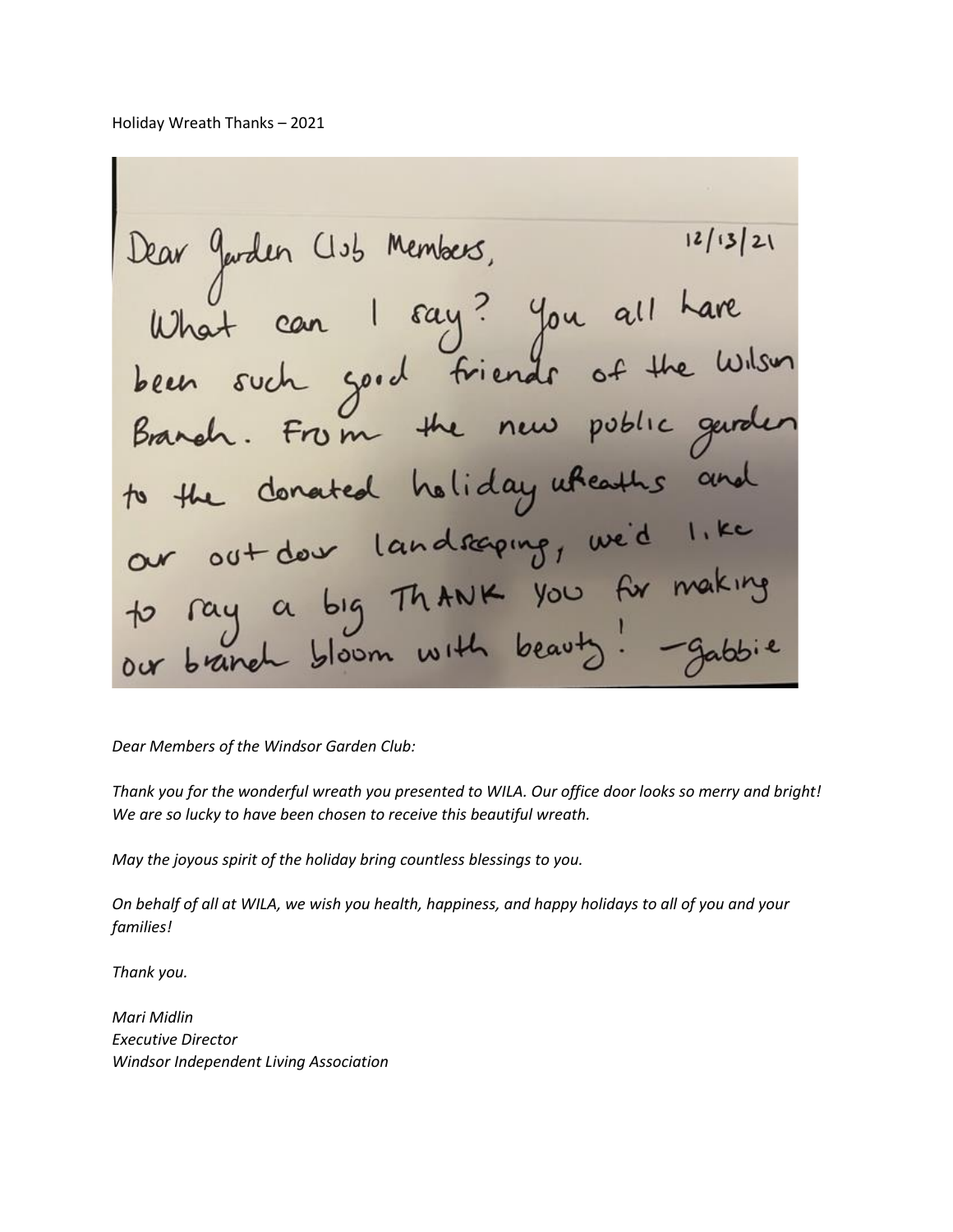Holiday Wreath Thanks – 2021

Dear Jarden Club Members, 12/13/21<br>What can I say? You all have<br>been such good friends of the Wilson  $12/13/21$ Branch. From the new poblic gard to the donated holiday wheaths an our out don landsaping, we'd 1.1 to ray a big Thank you for making our branch bloom with beauty!

*Dear Members of the Windsor Garden Club:*

*Thank you for the wonderful wreath you presented to WILA. Our office door looks so merry and bright! We are so lucky to have been chosen to receive this beautiful wreath.*

*May the joyous spirit of the holiday bring countless blessings to you.*

*On behalf of all at WILA, we wish you health, happiness, and happy holidays to all of you and your families!*

*Thank you.*

*Mari Midlin Executive Director Windsor Independent Living Association*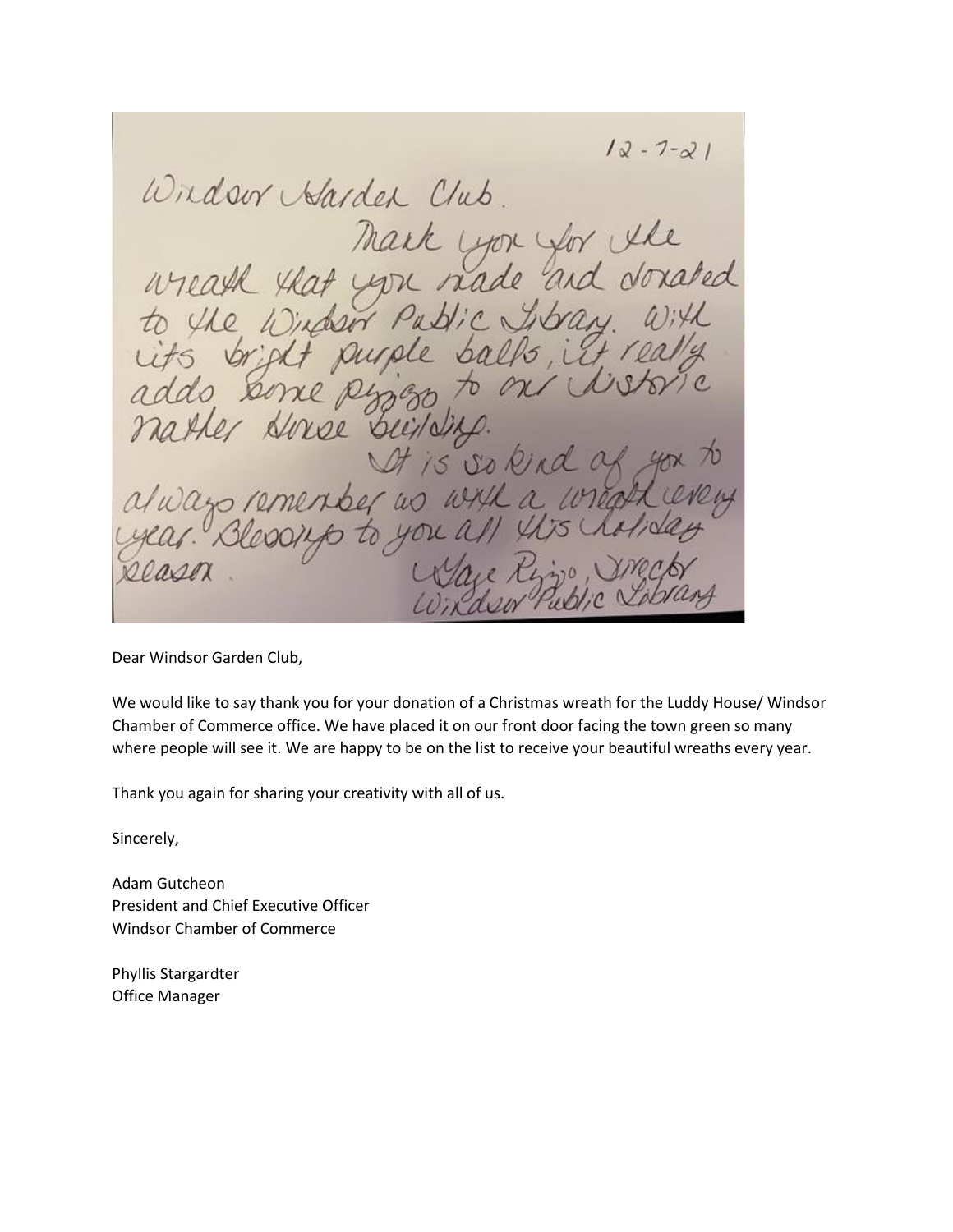$12 - 7 - 21$ Windsor Harden Club. Mark you for the<br>wreath that you nade and donated<br>to the Window Public Ibray. With<br>uts bright purple balls, it really Ido Serre Ringo  $70$ er Horse building It is so kind of to rementer as with a wreath en a/wazo R

Dear Windsor Garden Club,

We would like to say thank you for your donation of a Christmas wreath for the Luddy House/ Windsor Chamber of Commerce office. We have placed it on our front door facing the town green so many where people will see it. We are happy to be on the list to receive your beautiful wreaths every year.

Thank you again for sharing your creativity with all of us.

Sincerely,

Adam Gutcheon President and Chief Executive Officer Windsor Chamber of Commerce

Phyllis Stargardter Office Manager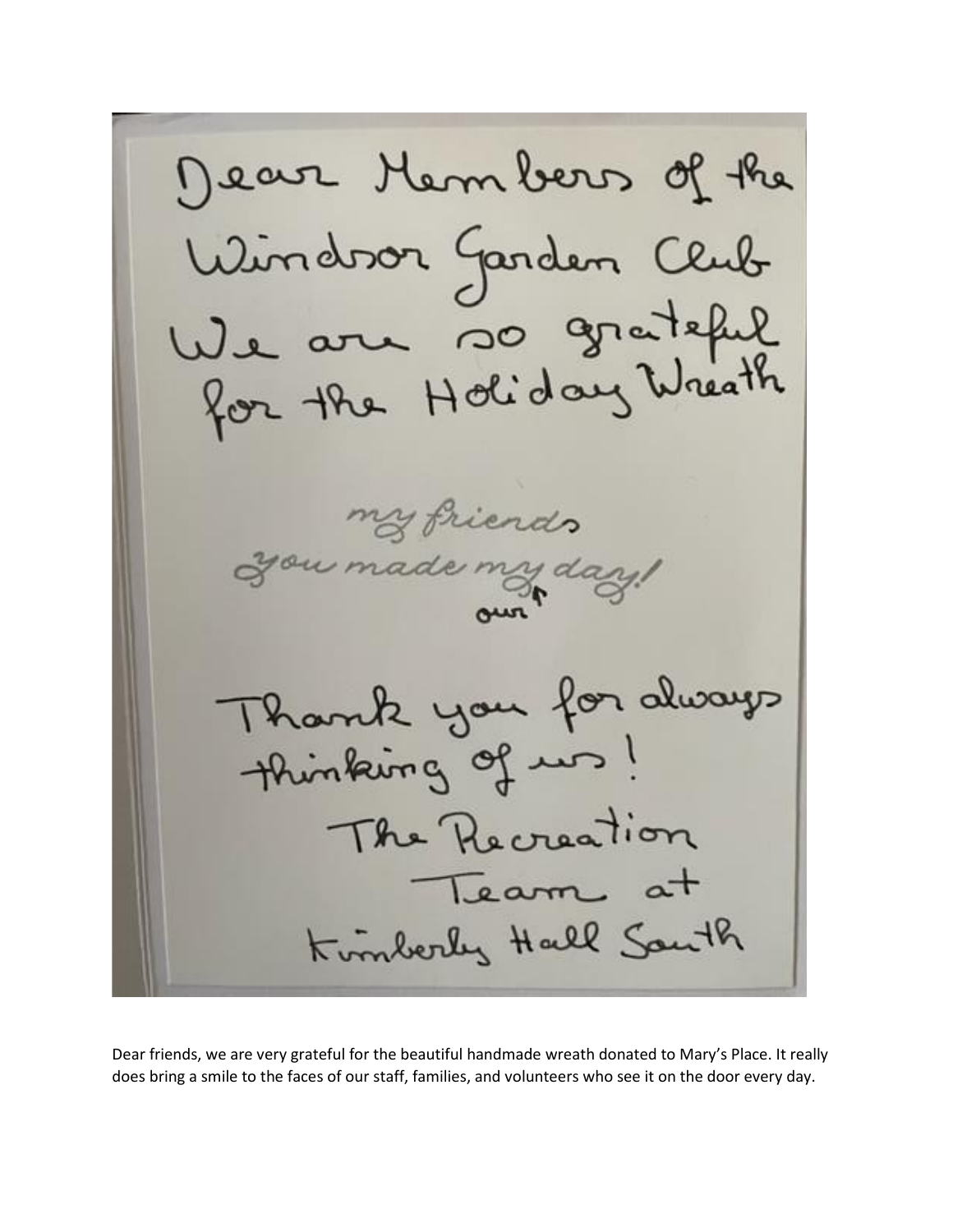Dear Hembers of the Windoor Garden Club We are so grateful<br>for the Holiday Wreath my friends ou made my day! Thank you for always thinking of us! The Recreation Team at Kimberly Hall South

Dear friends, we are very grateful for the beautiful handmade wreath donated to Mary's Place. It really does bring a smile to the faces of our staff, families, and volunteers who see it on the door every day.